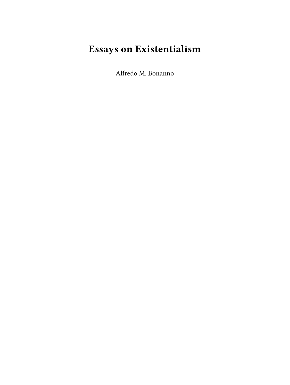## **Essays on Existentialism**

Alfredo M. Bonanno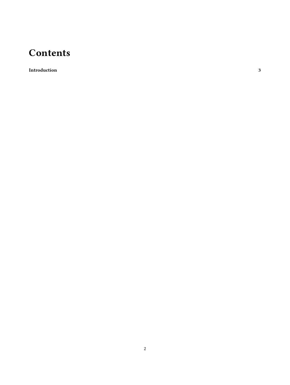## **Contents**

**[Introduction](#page-2-0) 3**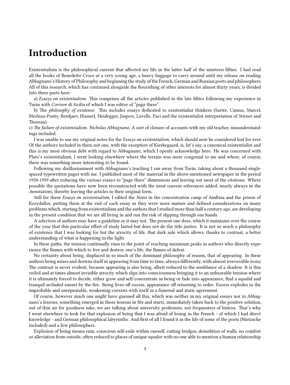## <span id="page-2-0"></span>**Introduction**

Existentialism is the philosophical current that affected my life in the latter half of the nineteen fifties. I had read all the books of Benedetto Croce at a very young age, a heavy baggage to carry around until my release on reading Abbagnano's History of Philosophy and beginning the study of the French, German and Russian poets and philosophers. All of this research, which has continued alongside the flourishing of other interests for almost thirty years, is divided into three parts here:

a) *Essays on existentialism*. This comprises all the articles published in the late fifties following my experience in Turin with *Corriere di Sicilia* of which I was editor of "page three".

b) The *philosophy of existence*. This includes essays dedicated to existentialist thinkers (Sartre, Camus, Marcel, Merleau-Ponty, Berdjaev, Husserl, Heidegger, Jaspers, Lavelle, Paci and the existentialist interpretation of Stirner and Thoreau).

c) *The failure of existentialism. Nicholas Abbagnano*. A sort of closure of accounts with my old teacher, misunderstandings included.

I was unable to use my original notes for the *Essays on existentialism*, which should now be considered lost for ever. Of the authors included in them not one, with the exception of Kierkegaard, is, let's say, a canonical existentialist and this is my most obvious debt with regard to Abbagnano, which I openly acknowledge here. He was concerned with Plato's existentialism, I went looking elsewhere where the terrain was more congenial to me and where, of course, there was something more interesting to be found.

Following my disillusionment with Abbagnano's teaching I ran away from Turin, taking about a thousand singlespaced typewritten pages with me. I published most of the material in the above-mentioned newspaper in the period 1958-1959 after reducing the various essays to "page three" dimensions and leaving out most of the citations. Where possible the quotations have now been reconstructed with the most current references added, nearly always in the *Annotations,* thereby leaving the articles in their original form.

Still for these *Essays on existentialism*, I edited the *Notes* in the concentration camp of Amfissa and the prison of Korydallos, putting them at the end of each essay as they were more mature and defined considerations on many problems which, starting from existentialism and the authors that I studied more than half a century ago, are developing in the present condition that we are all living in and run the risk of slipping through our hands.

A selection of authors may have a guideline or it may not. The present one does, which it maintains over the course of the year that this particular effort of study lasted but does not do the title justice. It is not so much a philosophy of existence that I was looking for but the atrocity of life, that dark side which allows, thanks to contrast, a better understanding of what is happening in the light.

In these paths, the tension continually rises to the point of reaching maximum peaks in authors who directly experience the flames with which to live and destroy one's life, the flames of defeat.

No certainty about being, displaced in so much of the dominant philosophy of reason, that of appearing. In these authors being mixes and drowns itself in appearing from time to time, always differently, with almost irreversible irony. The contrast is never evident, because appearing is also being, albeit reduced to the semblance of a shadow. It is this veiled and at times almost invisible atrocity which slips into consciousness bringing it to an unbearable tension where it is ultimately forced to decide, either grow and self-concentrate in being or fade into appearance, find a squalid and tranquil secluded sunset by the fire. Being lives off excess, appearance off returning to order. Excess explodes in the improbable and unrepeatable, weakening coexists with itself in a funereal and static agreement.

Of course, however much one might have guessed all this, which was neither in my original essays nor in Abbagnano's lessons, something emerged in those lessons in fits and starts, immediately taken back to the positive solution, out of thin air for goodness sake, we are talking about university professors, not frequenters of bistros. That's why I went elsewhere to look for that explosion of being that I was afraid of losing in the French - of which I had direct knowledge - and German philosophical labyrinths. And first of all I found it in the life of some of the poets (Nietzsche included) and a few philosophers.

Explosion of being means ruin, conscious self-exile within oneself, cutting bridges, demolition of walls, no comfort or alleviation from outside, often reduced to places of unique squalor with no one able to mention a human relationship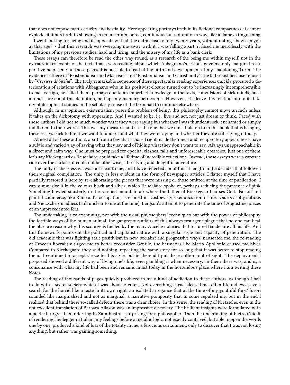that does not expose man's cruelty and bestiality. Here appearing portrays itself in its fictional compactness, it cannot explode, it limits itself to showing in an uncertain, bored, continuous but not uniform way, like a flame extinguishing.

I went looking for being and its opposite with all the enthusiasm of my twenty years, without noting - how can you at that age? - that this research was sweeping me away with it, I was falling apart, it faced me mercilessly with the limitations of my previous studies, hard and tiring, and the misery of my life as a bank clerk.

These essays can therefore be read the other way round, as a research of the being me within myself, not in the extraordinary events of the texts that I was reading, about which Abbagnano's lessons gave me only marginal recuperative help. Only in these pages it is possible to read of the birth and development of my abandoning Turin. The evidence is there in "Existentialism and Marxism" and "Existentialism and Christianity", the latter lost because refused by "*Corriere di Sicilia*". The truly remarkable sequence of these spectacular reading experiences quickly procured a deterioration of relations with Abbagnano who in his positivist closure turned out to be increasingly incomprehensible to me. Vertigo, he called them, perhaps due to an imperfect knowledge of the texts, convulsions of sick minds, but I am not sure about this definition, perhaps my memory betrays me. However, let's leave this relationship to its fate, my philosophical studies in the scholarly sense of the term had to continue elsewhere.

Although, in my opinion, existentialism poses the problem of being, this philosophy cannot move an inch unless it takes on the dichotomy with appearing. And I wanted to be, i.e. live and act, not just dream or think. Faced with these authors I did not so much wonder what they were saying but whether I was thunderstruck, enchanted or simply indifferent to their words. This was my measure, and it is the one that we must hold on to in this book that is bringing these essays back to life if we want to understand what they were saying and whether they are still saying it today.

Almost all of these authors, apart from a few that I chased right inside their neat and recuperatory appearances, have a subtle and varied way of saying what they say and of hiding what they don't want to say. Always unapproachable in a direct and calm way. One must be prepared for epochal clashes, falls and unforeseeable obstacles. Just one of them, let's say Kierkegaard or Baudelaire, could take a lifetime of incredible reflections. Instead, these essays were a carefree ride over the surface, it could not be otherwise, a terrifying and delightful adventure.

The unity of these essays was not clear to me, and I have reflected about this at length in the decades that followed their original compilation. The unity is less evident in the form of newspaper articles, I flatter myself that I have partially restored it here by re-elaborating the pieces that were missing or those omitted at the time of publication. I can summarize it in the colours black and silver, which Baudelaire spoke of, perhaps reducing the presence of pink. Something howled sinisterly in the rarefied mountain air where the father of Kierkegaard curses God. Far off and painful commerce, like Rimbaud's occupation, is echoed in Dostoevsky's renunciation of life. Gide's asphyxiations and Nietzsche's madness (still unclear to me at the time), Bergson's attempt to penetrate the time of Augustine, pieces of an unprecedented feat.

The undertaking is re-examining, not with the usual philosophers' techniques but with the power of philosophy, the terrible ways of the human animal, the gangrenous affairs of this always resurgent plague that no one can heal, the obscure reason why this scourge is fuelled by the many Ancelle notaries that tortured Baudelaire all his life. And this framework points out the political and capitalist nature with a singular style and capacity of penetration. The old academic that was fighting stale positivism in new, socialist and progressive ways, nauseated me, the re-reading of Crocean liberalism urged me to better reconsider Gentile, the hermetics like Mario Apollonio caused me hives. Compared to Kierkegaard they said nothing, repeating the same story for so long that it was better to stop reading them. I continued to accept Croce for his style, but in the end I put these authors out of sight. The deployment I proposed showed a different way of living one's life, even gambling it when necessary. In them there was, and is, a consonance with what my life had been and remains intact today in the horrendous place where I am writing these Notes.

The reading of thousands of pages quickly produced in me a kind of addiction to these authors, as though I had to do with a secret society which I was about to enter. Not everything I read pleased me, often I found excessive a search for the horrid like a taste in its own right, an isolated arrogance that at the time of my youthful fury/ furori sounded like marginalized and not as marginal, a narrative pomposity that in some repulsed me, but in the end I realized that behind these so-called defects there was a clear choice. In this sense, the reading of Nietzsche, even in the not excellent translation of Barbara Allason was an impressive discovery. The brilliant insights were formulated with a poetic liturgy - I am referring to Zarathustra - surprising for a philosopher. Then the undertaking of Pietro Chiodi, of rendering Heidegger in Italian, my feelings before a metallic logic, not exactly contrived, but able to open the words one by one, produced a kind of loss of the totality in me, a ferocious curtailment, only to discover that I was not losing anything, but rather was gaining something.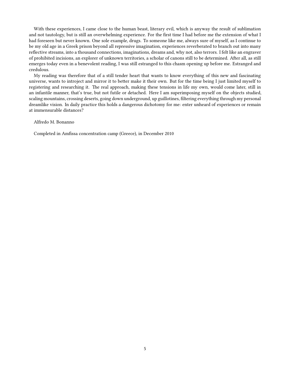With these experiences, I came close to the human beast, literary evil, which is anyway the result of sublimation and not tautology, but is still an overwhelming experience. For the first time I had before me the extension of what I had foreseen but never known. One sole example, drugs. To someone like me, always sure of myself, as I continue to be my old age in a Greek prison beyond all repressive imagination, experiences reverberated to branch out into many reflective streams, into a thousand connections, imaginations, dreams and, why not, also terrors. I felt like an engraver of prohibited incisions, an explorer of unknown territories, a scholar of canons still to be determined. After all, as still emerges today even in a benevolent reading, I was still estranged to this chasm opening up before me. Estranged and credulous.

My reading was therefore that of a still tender heart that wants to know everything of this new and fascinating universe, wants to introject and mirror it to better make it their own. But for the time being I just limited myself to registering and researching it. The real approach, making these tensions in life my own, would come later, still in an infantile manner, that's true, but not futile or detached. Here I am superimposing myself on the objects studied, scaling mountains, crossing deserts, going down underground, up guillotines, filtering everything through my personal dreamlike vision. In daily practice this holds a dangerous dichotomy for me: enter unheard of experiences or remain at immensurable distances?

## Alfredo M. Bonanno

Completed in Amfissa concentration camp (Greece), in December 2010